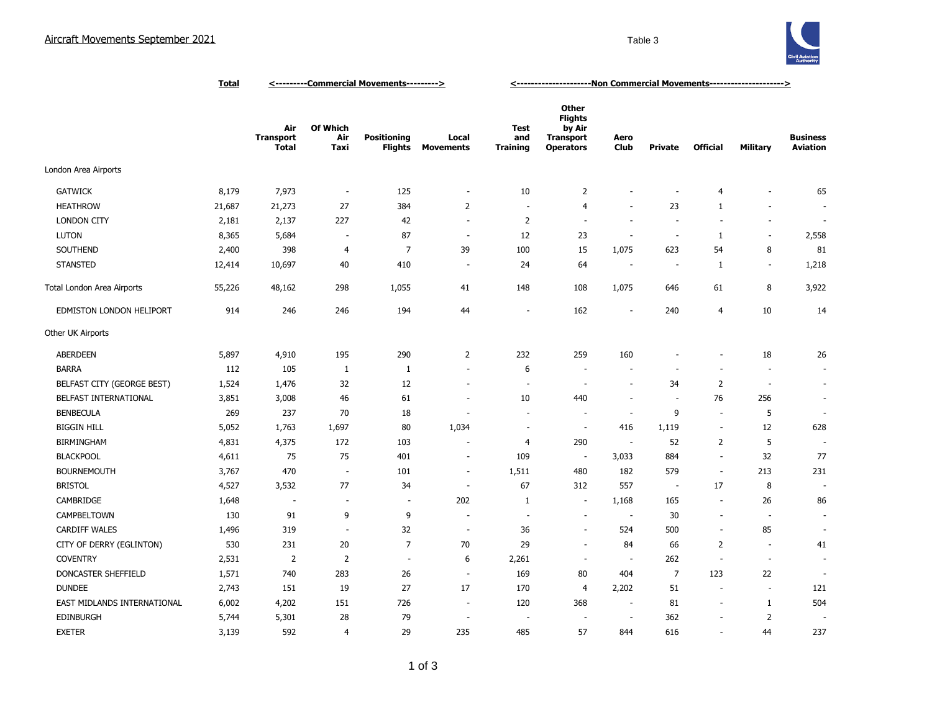

|                             | <b>Total</b> | <---------Commercial Movements---------> |                          |                                      |                           | <-----------------------Non Commercial Movements---------------------> |                                                                                  |                          |                          |                          |                          |                                    |
|-----------------------------|--------------|------------------------------------------|--------------------------|--------------------------------------|---------------------------|------------------------------------------------------------------------|----------------------------------------------------------------------------------|--------------------------|--------------------------|--------------------------|--------------------------|------------------------------------|
|                             |              | Air<br><b>Transport</b><br><b>Total</b>  | Of Which<br>Air<br>Taxi  | <b>Positioning</b><br><b>Flights</b> | Local<br><b>Movements</b> | <b>Test</b><br>and<br><b>Training</b>                                  | <b>Other</b><br><b>Flights</b><br>by Air<br><b>Transport</b><br><b>Operators</b> | Aero<br><b>Club</b>      | <b>Private</b>           | <b>Official</b>          | <b>Military</b>          | <b>Business</b><br><b>Aviation</b> |
| London Area Airports        |              |                                          |                          |                                      |                           |                                                                        |                                                                                  |                          |                          |                          |                          |                                    |
| <b>GATWICK</b>              | 8,179        | 7,973                                    | $\overline{\phantom{a}}$ | 125                                  | ÷,                        | 10                                                                     | $\overline{2}$                                                                   | $\overline{\phantom{a}}$ |                          | 4                        | ٠                        | 65                                 |
| <b>HEATHROW</b>             | 21,687       | 21,273                                   | 27                       | 384                                  | $\overline{2}$            | $\overline{a}$                                                         | 4                                                                                | $\sim$                   | 23                       | 1                        | $\overline{\phantom{a}}$ |                                    |
| <b>LONDON CITY</b>          | 2,181        | 2,137                                    | 227                      | 42                                   | ÷,                        | $\overline{2}$                                                         | $\sim$                                                                           | $\sim$                   | ÷,                       | $\sim$                   | $\overline{\phantom{a}}$ | $\sim$                             |
| <b>LUTON</b>                | 8,365        | 5,684                                    | $\overline{\phantom{a}}$ | 87                                   | $\sim$                    | 12                                                                     | 23                                                                               | $\sim$                   | $\overline{\phantom{a}}$ | 1                        | $\sim$                   | 2,558                              |
| SOUTHEND                    | 2,400        | 398                                      | $\overline{4}$           | 7                                    | 39                        | 100                                                                    | 15                                                                               | 1,075                    | 623                      | 54                       | 8                        | 81                                 |
| <b>STANSTED</b>             | 12,414       | 10,697                                   | 40                       | 410                                  | $\overline{a}$            | 24                                                                     | 64                                                                               | $\sim$                   |                          | 1                        | $\sim$                   | 1,218                              |
| Total London Area Airports  | 55,226       | 48,162                                   | 298                      | 1,055                                | 41                        | 148                                                                    | 108                                                                              | 1,075                    | 646                      | 61                       | 8                        | 3,922                              |
| EDMISTON LONDON HELIPORT    | 914          | 246                                      | 246                      | 194                                  | 44                        |                                                                        | 162                                                                              | $\overline{\phantom{a}}$ | 240                      | $\overline{4}$           | 10                       | 14                                 |
| Other UK Airports           |              |                                          |                          |                                      |                           |                                                                        |                                                                                  |                          |                          |                          |                          |                                    |
| <b>ABERDEEN</b>             | 5,897        | 4,910                                    | 195                      | 290                                  | $\overline{2}$            | 232                                                                    | 259                                                                              | 160                      |                          | ٠                        | 18                       | 26                                 |
| <b>BARRA</b>                | 112          | 105                                      | $\mathbf{1}$             | $\mathbf{1}$                         | ÷,                        | 6                                                                      | $\overline{\phantom{a}}$                                                         | ÷,                       |                          | ÷,                       | ÷,                       | ä,                                 |
| BELFAST CITY (GEORGE BEST)  | 1,524        | 1,476                                    | 32                       | 12                                   | ÷,                        |                                                                        | ÷,                                                                               | $\overline{\phantom{a}}$ | 34                       | 2                        | $\sim$                   | ÷,                                 |
| BELFAST INTERNATIONAL       | 3,851        | 3,008                                    | 46                       | 61                                   | $\overline{\phantom{a}}$  | 10                                                                     | 440                                                                              | $\sim$                   | ÷,                       | 76                       | 256                      | ä,                                 |
| <b>BENBECULA</b>            | 269          | 237                                      | 70                       | 18                                   | ٠                         | $\sim$                                                                 | $\sim$                                                                           | $\sim$                   | 9                        | $\sim$                   | 5                        | ÷.                                 |
| <b>BIGGIN HILL</b>          | 5,052        | 1,763                                    | 1,697                    | 80                                   | 1,034                     | ÷.                                                                     | $\sim$                                                                           | 416                      | 1,119                    | $\sim$                   | 12                       | 628                                |
| <b>BIRMINGHAM</b>           | 4,831        | 4,375                                    | 172                      | 103                                  |                           | $\overline{4}$                                                         | 290                                                                              | $\overline{\phantom{a}}$ | 52                       | 2                        | 5                        |                                    |
| <b>BLACKPOOL</b>            | 4,611        | 75                                       | 75                       | 401                                  | ÷,                        | 109                                                                    | $\overline{\phantom{a}}$                                                         | 3,033                    | 884                      | $\sim$                   | 32                       | 77                                 |
| <b>BOURNEMOUTH</b>          | 3,767        | 470                                      | $\overline{\phantom{a}}$ | 101                                  | $\sim$                    | 1,511                                                                  | 480                                                                              | 182                      | 579                      | $\sim$                   | 213                      | 231                                |
| <b>BRISTOL</b>              | 4,527        | 3,532                                    | 77                       | 34                                   | $\overline{a}$            | 67                                                                     | 312                                                                              | 557                      | $\overline{\phantom{a}}$ | 17                       | 8                        |                                    |
| CAMBRIDGE                   | 1,648        | ÷.                                       | ÷,                       | $\sim$                               | 202                       | 1                                                                      | $\blacksquare$                                                                   | 1,168                    | 165                      | $\sim$                   | 26                       | 86                                 |
| CAMPBELTOWN                 | 130          | 91                                       | 9                        | 9                                    | ÷,                        |                                                                        | $\overline{\phantom{a}}$                                                         | $\sim$                   | 30                       | $\blacksquare$           | ÷,                       | ä,                                 |
| <b>CARDIFF WALES</b>        | 1,496        | 319                                      | $\sim$                   | 32                                   | ÷,                        | 36                                                                     | ÷.                                                                               | 524                      | 500                      | $\sim$                   | 85                       | ÷,                                 |
| CITY OF DERRY (EGLINTON)    | 530          | 231                                      | 20                       | $\overline{7}$                       | 70                        | 29                                                                     | $\sim$                                                                           | 84                       | 66                       | $\overline{2}$           | ÷.                       | 41                                 |
| <b>COVENTRY</b>             | 2,531        | $\overline{2}$                           | $\overline{2}$           | $\sim$                               | 6                         | 2,261                                                                  | $\sim$                                                                           | $\sim$                   | 262                      | $\sim$                   | $\sim$                   | ÷.                                 |
| DONCASTER SHEFFIELD         | 1,571        | 740                                      | 283                      | 26                                   | $\overline{\phantom{a}}$  | 169                                                                    | 80                                                                               | 404                      | $\overline{7}$           | 123                      | 22                       |                                    |
| <b>DUNDEE</b>               | 2,743        | 151                                      | 19                       | 27                                   | 17                        | 170                                                                    | 4                                                                                | 2,202                    | 51                       | $\overline{\phantom{a}}$ | $\overline{\phantom{a}}$ | 121                                |
| EAST MIDLANDS INTERNATIONAL | 6,002        | 4,202                                    | 151                      | 726                                  | $\overline{\phantom{a}}$  | 120                                                                    | 368                                                                              | $\overline{\phantom{a}}$ | 81                       | $\overline{\phantom{a}}$ | $\mathbf{1}$             | 504                                |
| <b>EDINBURGH</b>            | 5,744        | 5,301                                    | 28                       | 79                                   | ÷,                        |                                                                        | $\overline{\phantom{a}}$                                                         | $\sim$                   | 362                      | $\overline{a}$           | 2                        |                                    |
| <b>EXETER</b>               | 3,139        | 592                                      | $\overline{4}$           | 29                                   | 235                       | 485                                                                    | 57                                                                               | 844                      | 616                      | $\sim$                   | 44                       | 237                                |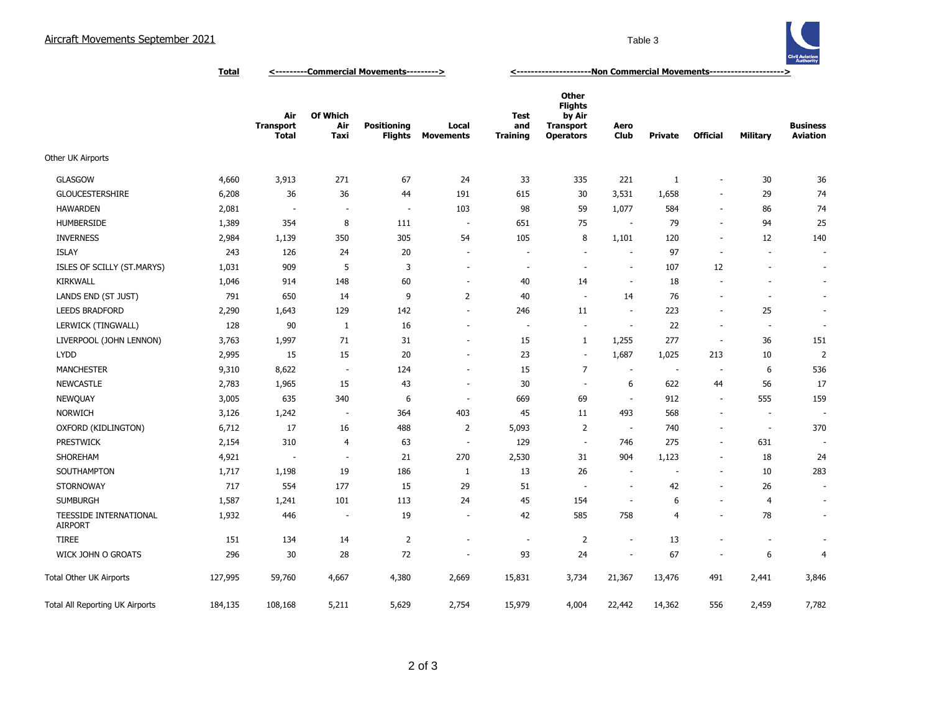

**Total <---------Commercial Movements---------> <---------------------Non Commercial Movements--------------------->**

|                                          |         | Air<br><b>Transport</b><br><b>Total</b> | Of Which<br>Air<br>Taxi  | <b>Positioning</b><br><b>Flights</b> | Local<br><b>Movements</b> | <b>Test</b><br>and<br><b>Training</b> | <b>Other</b><br><b>Flights</b><br>by Air<br><b>Transport</b><br><b>Operators</b> | Aero<br>Club             | <b>Private</b>           | <b>Official</b>          | <b>Military</b>          | <b>Business</b><br><b>Aviation</b> |
|------------------------------------------|---------|-----------------------------------------|--------------------------|--------------------------------------|---------------------------|---------------------------------------|----------------------------------------------------------------------------------|--------------------------|--------------------------|--------------------------|--------------------------|------------------------------------|
| Other UK Airports                        |         |                                         |                          |                                      |                           |                                       |                                                                                  |                          |                          |                          |                          |                                    |
| <b>GLASGOW</b>                           | 4,660   | 3,913                                   | 271                      | 67                                   | 24                        | 33                                    | 335                                                                              | 221                      | $\mathbf{1}$             | $\overline{\phantom{a}}$ | 30                       | 36                                 |
| <b>GLOUCESTERSHIRE</b>                   | 6,208   | 36                                      | 36                       | 44                                   | 191                       | 615                                   | 30                                                                               | 3,531                    | 1,658                    | $\blacksquare$           | 29                       | 74                                 |
| <b>HAWARDEN</b>                          | 2,081   | $\overline{\phantom{a}}$                | $\overline{\phantom{a}}$ | $\sim$                               | 103                       | 98                                    | 59                                                                               | 1,077                    | 584                      | $\overline{\phantom{a}}$ | 86                       | 74                                 |
| <b>HUMBERSIDE</b>                        | 1,389   | 354                                     | 8                        | 111                                  | $\overline{\phantom{a}}$  | 651                                   | 75                                                                               |                          | 79                       | $\blacksquare$           | 94                       | 25                                 |
| <b>INVERNESS</b>                         | 2,984   | 1,139                                   | 350                      | 305                                  | 54                        | 105                                   | 8                                                                                | 1,101                    | 120                      | $\sim$                   | 12                       | 140                                |
| <b>ISLAY</b>                             | 243     | 126                                     | 24                       | 20                                   | $\overline{\phantom{a}}$  |                                       | $\overline{\phantom{a}}$                                                         |                          | 97                       | $\overline{\phantom{a}}$ | $\overline{\phantom{a}}$ | $\sim$                             |
| ISLES OF SCILLY (ST.MARYS)               | 1,031   | 909                                     | 5                        | 3                                    | $\overline{\phantom{a}}$  | ٠                                     | $\overline{\phantom{a}}$                                                         | $\overline{\phantom{a}}$ | 107                      | 12                       | $\overline{\phantom{a}}$ | $\sim$                             |
| <b>KIRKWALL</b>                          | 1,046   | 914                                     | 148                      | 60                                   | $\sim$                    | 40                                    | 14                                                                               | $\sim$                   | 18                       | $\overline{\phantom{a}}$ |                          | $\sim$                             |
| LANDS END (ST JUST)                      | 791     | 650                                     | 14                       | 9                                    | $\overline{2}$            | 40                                    | $\sim$                                                                           | 14                       | 76                       | $\overline{\phantom{a}}$ | $\overline{\phantom{a}}$ | $\sim$                             |
| <b>LEEDS BRADFORD</b>                    | 2,290   | 1,643                                   | 129                      | 142                                  | $\overline{\phantom{a}}$  | 246                                   | 11                                                                               | $\overline{\phantom{a}}$ | 223                      | $\overline{\phantom{a}}$ | 25                       | $\sim$                             |
| LERWICK (TINGWALL)                       | 128     | 90                                      | 1                        | 16                                   | $\overline{\phantom{a}}$  | $\overline{\phantom{a}}$              | $\overline{\phantom{a}}$                                                         | $\overline{\phantom{a}}$ | 22                       | $\overline{\phantom{a}}$ | $\overline{\phantom{a}}$ | $\overline{\phantom{a}}$           |
| LIVERPOOL (JOHN LENNON)                  | 3,763   | 1,997                                   | 71                       | 31                                   | $\sim$                    | 15                                    | $\mathbf{1}$                                                                     | 1,255                    | 277                      | $\sim$                   | 36                       | 151                                |
| <b>LYDD</b>                              | 2,995   | 15                                      | 15                       | 20                                   | $\sim$                    | 23                                    | $\sim$                                                                           | 1,687                    | 1,025                    | 213                      | 10                       | $\overline{2}$                     |
| <b>MANCHESTER</b>                        | 9,310   | 8,622                                   | $\overline{\phantom{a}}$ | 124                                  | $\overline{\phantom{a}}$  | 15                                    | $\overline{7}$                                                                   | $\overline{\phantom{a}}$ | $\overline{\phantom{a}}$ | $\overline{\phantom{a}}$ | 6                        | 536                                |
| <b>NEWCASTLE</b>                         | 2,783   | 1,965                                   | 15                       | 43                                   | $\sim$                    | 30                                    | $\overline{a}$                                                                   | 6                        | 622                      | 44                       | 56                       | 17                                 |
| <b>NEWQUAY</b>                           | 3,005   | 635                                     | 340                      | 6                                    | $\overline{\phantom{a}}$  | 669                                   | 69                                                                               |                          | 912                      | $\overline{\phantom{a}}$ | 555                      | 159                                |
| <b>NORWICH</b>                           | 3,126   | 1,242                                   | $\overline{\phantom{a}}$ | 364                                  | 403                       | 45                                    | 11                                                                               | 493                      | 568                      | $\overline{\phantom{a}}$ | $\overline{\phantom{a}}$ |                                    |
| OXFORD (KIDLINGTON)                      | 6,712   | 17                                      | 16                       | 488                                  | $\overline{2}$            | 5,093                                 | $\overline{2}$                                                                   |                          | 740                      | $\overline{\phantom{a}}$ | $\sim$                   | 370                                |
| <b>PRESTWICK</b>                         | 2,154   | 310                                     | $\overline{4}$           | 63                                   | $\sim$                    | 129                                   | $\sim$                                                                           | 746                      | 275                      | $\overline{\phantom{a}}$ | 631                      | $\sim$                             |
| SHOREHAM                                 | 4,921   | $\overline{\phantom{a}}$                | $\overline{\phantom{a}}$ | 21                                   | 270                       | 2,530                                 | 31                                                                               | 904                      | 1,123                    | $\overline{\phantom{a}}$ | 18                       | 24                                 |
| SOUTHAMPTON                              | 1,717   | 1,198                                   | 19                       | 186                                  | 1                         | 13                                    | 26                                                                               | $\overline{\phantom{a}}$ | ٠                        | $\overline{\phantom{a}}$ | 10                       | 283                                |
| <b>STORNOWAY</b>                         | 717     | 554                                     | 177                      | 15                                   | 29                        | 51                                    | $\overline{\phantom{a}}$                                                         | $\overline{\phantom{a}}$ | 42                       | $\blacksquare$           | 26                       | $\sim$                             |
| <b>SUMBURGH</b>                          | 1,587   | 1,241                                   | 101                      | 113                                  | 24                        | 45                                    | 154                                                                              | $\overline{\phantom{a}}$ | 6                        | $\blacksquare$           | 4                        | $\sim$                             |
| TEESSIDE INTERNATIONAL<br><b>AIRPORT</b> | 1,932   | 446                                     | $\overline{\phantom{a}}$ | 19                                   | $\overline{\phantom{a}}$  | 42                                    | 585                                                                              | 758                      | $\overline{4}$           | $\overline{\phantom{a}}$ | 78                       | $\sim$                             |
| <b>TIREE</b>                             | 151     | 134                                     | 14                       | $\overline{2}$                       | ٠                         | $\overline{\phantom{a}}$              | $\overline{2}$                                                                   | $\overline{\phantom{a}}$ | 13                       | ä,                       | $\overline{\phantom{a}}$ | $\overline{\phantom{a}}$           |
| WICK JOHN O GROATS                       | 296     | 30                                      | 28                       | 72                                   |                           | 93                                    | 24                                                                               | $\overline{\phantom{a}}$ | 67                       | $\overline{\phantom{a}}$ | 6                        | 4                                  |
| <b>Total Other UK Airports</b>           | 127,995 | 59,760                                  | 4,667                    | 4,380                                | 2,669                     | 15,831                                | 3,734                                                                            | 21,367                   | 13,476                   | 491                      | 2,441                    | 3,846                              |
| Total All Reporting UK Airports          | 184,135 | 108,168                                 | 5,211                    | 5,629                                | 2,754                     | 15,979                                | 4,004                                                                            | 22,442                   | 14,362                   | 556                      | 2,459                    | 7,782                              |